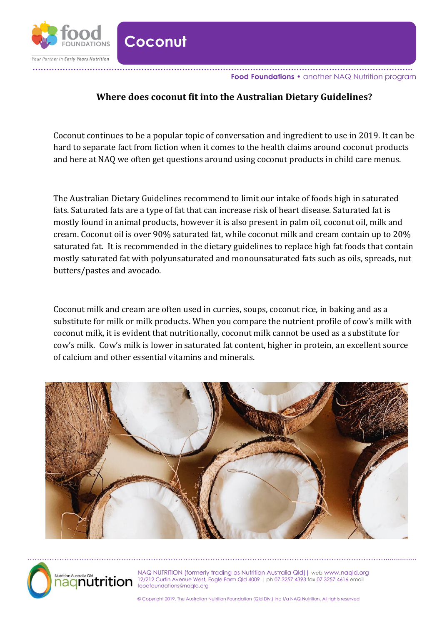

**Coconut**

## **Where does coconut fit into the Australian Dietary Guidelines?**

Coconut continues to be a popular topic of conversation and ingredient to use in 2019. It can be hard to separate fact from fiction when it comes to the health claims around coconut products and here at NAQ we often get questions around using coconut products in child care menus.

The Australian Dietary Guidelines recommend to limit our intake of foods high in saturated fats. Saturated fats are a type of fat that can increase risk of heart disease. Saturated fat is mostly found in animal products, however it is also present in palm oil, coconut oil, milk and cream. Coconut oil is over 90% saturated fat, while coconut milk and cream contain up to 20% saturated fat. It is recommended in the dietary guidelines to replace high fat foods that contain mostly saturated fat with polyunsaturated and monounsaturated fats such as oils, spreads, nut butters/pastes and avocado.

Coconut milk and cream are often used in curries, soups, coconut rice, in baking and as a substitute for milk or milk products. When you compare the nutrient profile of cow's milk with coconut milk, it is evident that nutritionally, coconut milk cannot be used as a substitute for cow's milk. Cow's milk is lower in saturated fat content, higher in protein, an excellent source of calcium and other essential vitamins and minerals.





NAQ NUTRITION (formerly trading as Nutrition Australia Qld)| web www.naqld.org 12/212 Curtin Avenue West, Eagle Farm Qld 4009 | ph 07 3257 4393 fax 07 3257 4616 email foodfoundations@naqld.org